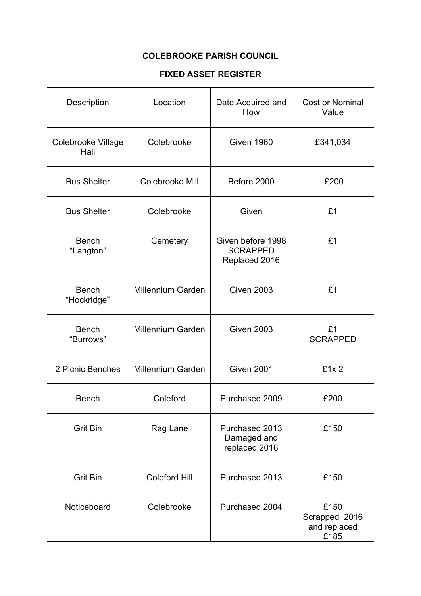## **COLEBROOKE PARISH COUNCIL**

## **FIXED ASSET REGISTER**

| <b>Description</b>          | Location                 | Date Acquired and<br>How                              | <b>Cost or Nominal</b><br>Value               |
|-----------------------------|--------------------------|-------------------------------------------------------|-----------------------------------------------|
| Colebrooke Village<br>Hall  | Colebrooke               | <b>Given 1960</b>                                     | £341,034                                      |
| <b>Bus Shelter</b>          | Colebrooke Mill          | Before 2000                                           | £200                                          |
| <b>Bus Shelter</b>          | Colebrooke               | Given                                                 | £1                                            |
| <b>Bench</b><br>"Langton"   | Cemetery                 | Given before 1998<br><b>SCRAPPED</b><br>Replaced 2016 | £1                                            |
| <b>Bench</b><br>"Hockridge" | <b>Millennium Garden</b> | <b>Given 2003</b>                                     | £1                                            |
| <b>Bench</b><br>"Burrows"   | <b>Millennium Garden</b> | <b>Given 2003</b>                                     | £1<br><b>SCRAPPED</b>                         |
| 2 Picnic Benches            | Millennium Garden        | <b>Given 2001</b>                                     | £1x2                                          |
| <b>Bench</b>                | Coleford                 | Purchased 2009                                        | £200                                          |
| <b>Grit Bin</b>             | Rag Lane                 | Purchased 2013<br>Damaged and<br>replaced 2016        | £150                                          |
| <b>Grit Bin</b>             | <b>Coleford Hill</b>     | Purchased 2013                                        | £150                                          |
| Noticeboard                 | Colebrooke               | Purchased 2004                                        | £150<br>Scrapped 2016<br>and replaced<br>£185 |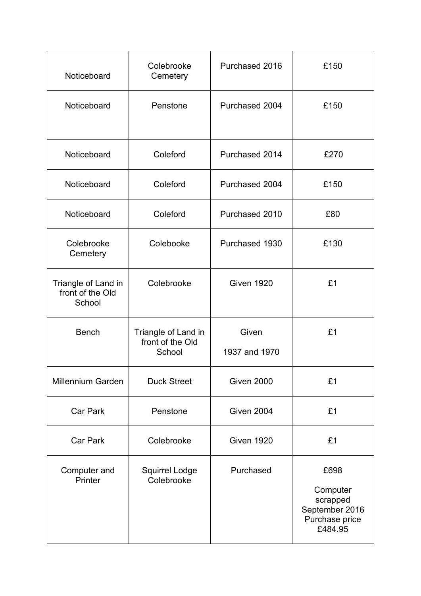| Noticeboard                                       | Colebrooke<br>Cemetery                            | Purchased 2016         | £150                                                                        |
|---------------------------------------------------|---------------------------------------------------|------------------------|-----------------------------------------------------------------------------|
| Noticeboard                                       | Penstone                                          | Purchased 2004         | £150                                                                        |
| Noticeboard                                       | Coleford                                          | Purchased 2014         | £270                                                                        |
| Noticeboard                                       | Coleford                                          | Purchased 2004         | £150                                                                        |
| Noticeboard                                       | Coleford                                          | Purchased 2010         | £80                                                                         |
| Colebrooke<br>Cemetery                            | Colebooke                                         | Purchased 1930         | £130                                                                        |
| Triangle of Land in<br>front of the Old<br>School | Colebrooke                                        | <b>Given 1920</b>      | £1                                                                          |
| <b>Bench</b>                                      | Triangle of Land in<br>front of the Old<br>School | Given<br>1937 and 1970 | £1                                                                          |
| <b>Millennium Garden</b>                          | <b>Duck Street</b>                                | <b>Given 2000</b>      | £1                                                                          |
| <b>Car Park</b>                                   | Penstone                                          | Given 2004             | £1                                                                          |
| <b>Car Park</b>                                   | Colebrooke                                        | <b>Given 1920</b>      | £1                                                                          |
| Computer and<br>Printer                           | <b>Squirrel Lodge</b><br>Colebrooke               | Purchased              | £698<br>Computer<br>scrapped<br>September 2016<br>Purchase price<br>£484.95 |